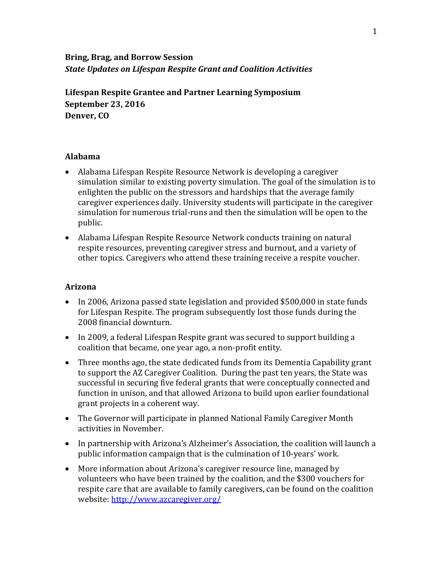# **Bring, Brag, and Borrow Session** *State Updates on Lifespan Respite Grant and Coalition Activities*

**Lifespan Respite Grantee and Partner Learning Symposium September 23, 2016 Denver, CO**

#### **Alabama**

- Alabama Lifespan Respite Resource Network is developing a caregiver simulation similar to existing poverty simulation. The goal of the simulation is to enlighten the public on the stressors and hardships that the average family caregiver experiences daily. University students will participate in the caregiver simulation for numerous trial-runs and then the simulation will be open to the public.
- Alabama Lifespan Respite Resource Network conducts training on natural respite resources, preventing caregiver stress and burnout, and a variety of other topics. Caregivers who attend these training receive a respite voucher.

#### **Arizona**

- In 2006, Arizona passed state legislation and provided \$500,000 in state funds for Lifespan Respite. The program subsequently lost those funds during the 2008 financial downturn.
- In 2009, a federal Lifespan Respite grant was secured to support building a coalition that became, one year ago, a non-profit entity.
- Three months ago, the state dedicated funds from its Dementia Capability grant to support the AZ Caregiver Coalition. During the past ten years, the State was successful in securing five federal grants that were conceptually connected and function in unison, and that allowed Arizona to build upon earlier foundational grant projects in a coherent way.
- The Governor will participate in planned National Family Caregiver Month activities in November.
- In partnership with Arizona's Alzheimer's Association, the coalition will launch a public information campaign that is the culmination of 10-years' work.
- More information about Arizona's caregiver resource line, managed by volunteers who have been trained by the coalition, and the \$300 vouchers for respite care that are available to family caregivers, can be found on the coalition website: <http://www.azcaregiver.org/>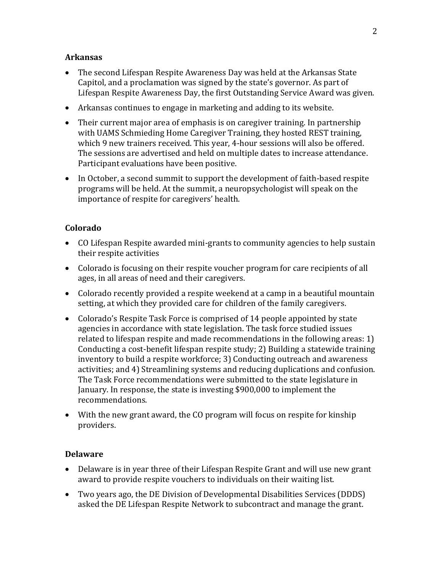#### **Arkansas**

- The second Lifespan Respite Awareness Day was held at the Arkansas State Capitol, and a proclamation was signed by the state's governor. As part of Lifespan Respite Awareness Day, the first Outstanding Service Award was given.
- Arkansas continues to engage in marketing and adding to its website.
- Their current major area of emphasis is on caregiver training. In partnership with UAMS Schmieding Home Caregiver Training, they hosted REST training, which 9 new trainers received. This year, 4-hour sessions will also be offered. The sessions are advertised and held on multiple dates to increase attendance. Participant evaluations have been positive.
- In October, a second summit to support the development of faith-based respite programs will be held. At the summit, a neuropsychologist will speak on the importance of respite for caregivers' health.

### **Colorado**

- CO Lifespan Respite awarded mini-grants to community agencies to help sustain their respite activities
- Colorado is focusing on their respite voucher program for care recipients of all ages, in all areas of need and their caregivers.
- Colorado recently provided a respite weekend at a camp in a beautiful mountain setting, at which they provided care for children of the family caregivers.
- Colorado's Respite Task Force is comprised of 14 people appointed by state agencies in accordance with state legislation. The task force studied issues related to lifespan respite and made recommendations in the following areas: 1) Conducting a cost-benefit lifespan respite study; 2) Building a statewide training inventory to build a respite workforce; 3) Conducting outreach and awareness activities; and 4) Streamlining systems and reducing duplications and confusion. The Task Force recommendations were submitted to the state legislature in January. In response, the state is investing \$900,000 to implement the recommendations.
- With the new grant award, the CO program will focus on respite for kinship providers.

#### **Delaware**

- Delaware is in year three of their Lifespan Respite Grant and will use new grant award to provide respite vouchers to individuals on their waiting list.
- Two years ago, the DE Division of Developmental Disabilities Services (DDDS) asked the DE Lifespan Respite Network to subcontract and manage the grant.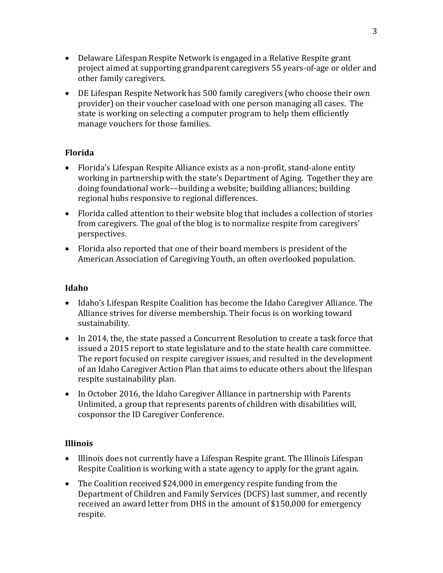- Delaware Lifespan Respite Network is engaged in a Relative Respite grant project aimed at supporting grandparent caregivers 55 years-of-age or older and other family caregivers.
- DE Lifespan Respite Network has 500 family caregivers (who choose their own provider) on their voucher caseload with one person managing all cases. The state is working on selecting a computer program to help them efficiently manage vouchers for those families.

### **Florida**

- Florida's Lifespan Respite Alliance exists as a non-profit, stand-alone entity working in partnership with the state's Department of Aging. Together they are doing foundational work––building a website; building alliances; building regional hubs responsive to regional differences.
- Florida called attention to their website blog that includes a collection of stories from caregivers. The goal of the blog is to normalize respite from caregivers' perspectives.
- Florida also reported that one of their board members is president of the American Association of Caregiving Youth, an often overlooked population.

#### **Idaho**

- Idaho's Lifespan Respite Coalition has become the Idaho Caregiver Alliance. The Alliance strives for diverse membership. Their focus is on working toward sustainability.
- In 2014, the, the state passed a Concurrent Resolution to create a task force that issued a 2015 report to state legislature and to the state health care committee. The report focused on respite caregiver issues, and resulted in the development of an Idaho Caregiver Action Plan that aims to educate others about the lifespan respite sustainability plan.
- In October 2016, the Idaho Caregiver Alliance in partnership with Parents Unlimited, a group that represents parents of children with disabilities will, cosponsor the ID Caregiver Conference.

#### **Illinois**

- Illinois does not currently have a Lifespan Respite grant. The Illinois Lifespan Respite Coalition is working with a state agency to apply for the grant again.
- The Coalition received \$24,000 in emergency respite funding from the Department of Children and Family Services (DCFS) last summer, and recently received an award letter from DHS in the amount of \$150,000 for emergency respite.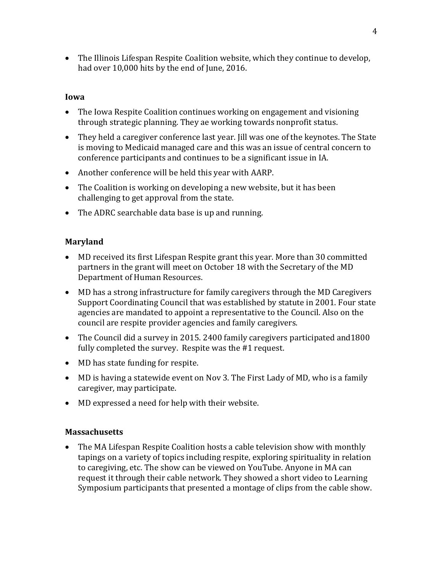• The Illinois Lifespan Respite Coalition website, which they continue to develop, had over 10,000 hits by the end of June, 2016.

#### **Iowa**

- The Iowa Respite Coalition continues working on engagement and visioning through strategic planning. They ae working towards nonprofit status.
- They held a caregiver conference last year. Jill was one of the keynotes. The State is moving to Medicaid managed care and this was an issue of central concern to conference participants and continues to be a significant issue in IA.
- Another conference will be held this year with AARP.
- The Coalition is working on developing a new website, but it has been challenging to get approval from the state.
- The ADRC searchable data base is up and running.

## **Maryland**

- MD received its first Lifespan Respite grant this year. More than 30 committed partners in the grant will meet on October 18 with the Secretary of the MD Department of Human Resources.
- MD has a strong infrastructure for family caregivers through the MD Caregivers Support Coordinating Council that was established by statute in 2001. Four state agencies are mandated to appoint a representative to the Council. Also on the council are respite provider agencies and family caregivers.
- The Council did a survey in 2015. 2400 family caregivers participated and1800 fully completed the survey. Respite was the #1 request.
- MD has state funding for respite.
- MD is having a statewide event on Nov 3. The First Lady of MD, who is a family caregiver, may participate.
- MD expressed a need for help with their website.

#### **Massachusetts**

• The MA Lifespan Respite Coalition hosts a cable television show with monthly tapings on a variety of topics including respite, exploring spirituality in relation to caregiving, etc. The show can be viewed on YouTube. Anyone in MA can request it through their cable network. They showed a short video to Learning Symposium participants that presented a montage of clips from the cable show.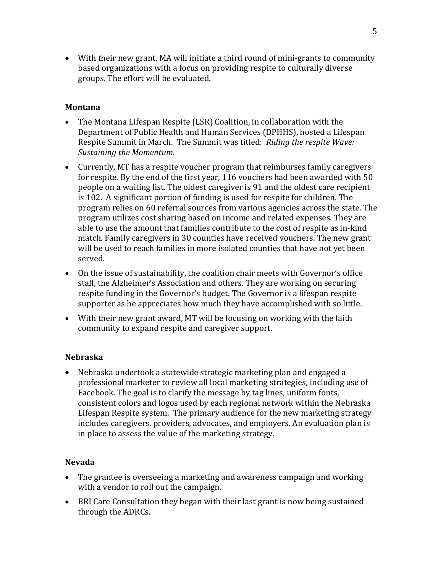• With their new grant, MA will initiate a third round of mini-grants to community based organizations with a focus on providing respite to culturally diverse groups. The effort will be evaluated.

#### **Montana**

- The Montana Lifespan Respite (LSR) Coalition, in collaboration with the Department of Public Health and Human Services (DPHHS), hosted a Lifespan Respite Summit in March. The Summit was titled: *Riding the respite Wave: Sustaining the Momentum*.
- Currently, MT has a respite voucher program that reimburses family caregivers for respite. By the end of the first year, 116 vouchers had been awarded with 50 people on a waiting list. The oldest caregiver is 91 and the oldest care recipient is 102. A significant portion of funding is used for respite for children. The program relies on 60 referral sources from various agencies across the state. The program utilizes cost sharing based on income and related expenses. They are able to use the amount that families contribute to the cost of respite as in-kind match. Family caregivers in 30 counties have received vouchers. The new grant will be used to reach families in more isolated counties that have not yet been served.
- On the issue of sustainability, the coalition chair meets with Governor's office staff, the Alzheimer's Association and others. They are working on securing respite funding in the Governor's budget. The Governor is a lifespan respite supporter as he appreciates how much they have accomplished with so little.
- With their new grant award, MT will be focusing on working with the faith community to expand respite and caregiver support.

## **Nebraska**

• Nebraska undertook a statewide strategic marketing plan and engaged a professional marketer to review all local marketing strategies, including use of Facebook. The goal is to clarify the message by tag lines, uniform fonts, consistent colors and logos used by each regional network within the Nebraska Lifespan Respite system. The primary audience for the new marketing strategy includes caregivers, providers, advocates, and employers. An evaluation plan is in place to assess the value of the marketing strategy.

#### **Nevada**

- The grantee is overseeing a marketing and awareness campaign and working with a vendor to roll out the campaign.
- BRI Care Consultation they began with their last grant is now being sustained through the ADRCs.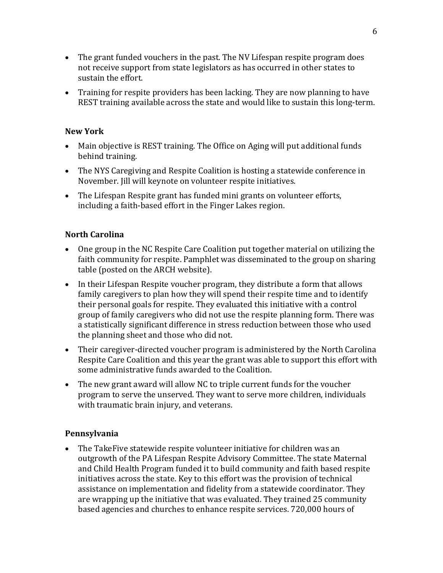- The grant funded vouchers in the past. The NV Lifespan respite program does not receive support from state legislators as has occurred in other states to sustain the effort.
- Training for respite providers has been lacking. They are now planning to have REST training available across the state and would like to sustain this long-term.

#### **New York**

- Main objective is REST training. The Office on Aging will put additional funds behind training.
- The NYS Caregiving and Respite Coalition is hosting a statewide conference in November. Jill will keynote on volunteer respite initiatives.
- The Lifespan Respite grant has funded mini grants on volunteer efforts, including a faith-based effort in the Finger Lakes region.

### **North Carolina**

- One group in the NC Respite Care Coalition put together material on utilizing the faith community for respite. Pamphlet was disseminated to the group on sharing table (posted on the ARCH website).
- In their Lifespan Respite voucher program, they distribute a form that allows family caregivers to plan how they will spend their respite time and to identify their personal goals for respite. They evaluated this initiative with a control group of family caregivers who did not use the respite planning form. There was a statistically significant difference in stress reduction between those who used the planning sheet and those who did not.
- Their caregiver-directed voucher program is administered by the North Carolina Respite Care Coalition and this year the grant was able to support this effort with some administrative funds awarded to the Coalition.
- The new grant award will allow NC to triple current funds for the voucher program to serve the unserved. They want to serve more children, individuals with traumatic brain injury, and veterans.

#### **Pennsylvania**

• The TakeFive statewide respite volunteer initiative for children was an outgrowth of the PA Lifespan Respite Advisory Committee. The state Maternal and Child Health Program funded it to build community and faith based respite initiatives across the state. Key to this effort was the provision of technical assistance on implementation and fidelity from a statewide coordinator. They are wrapping up the initiative that was evaluated. They trained 25 community based agencies and churches to enhance respite services. 720,000 hours of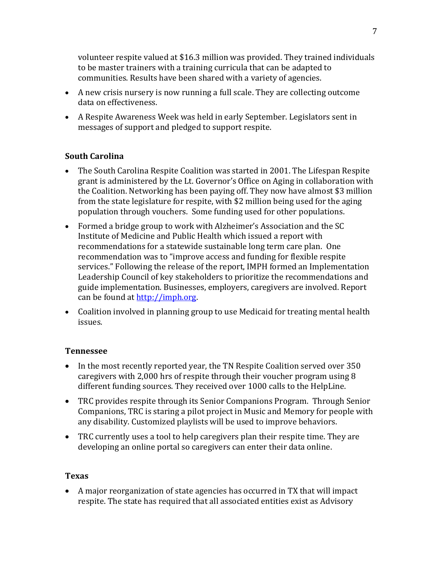volunteer respite valued at \$16.3 million was provided. They trained individuals to be master trainers with a training curricula that can be adapted to communities. Results have been shared with a variety of agencies.

- A new crisis nursery is now running a full scale. They are collecting outcome data on effectiveness.
- A Respite Awareness Week was held in early September. Legislators sent in messages of support and pledged to support respite.

# **South Carolina**

- The South Carolina Respite Coalition was started in 2001. The Lifespan Respite grant is administered by the Lt. Governor's Office on Aging in collaboration with the Coalition. Networking has been paying off. They now have almost \$3 million from the state legislature for respite, with \$2 million being used for the aging population through vouchers. Some funding used for other populations.
- Formed a bridge group to work with Alzheimer's Association and the SC Institute of Medicine and Public Health which issued a report with recommendations for a statewide sustainable long term care plan. One recommendation was to "improve access and funding for flexible respite services." Following the release of the report, IMPH formed an Implementation Leadership Council of key stakeholders to prioritize the recommendations and guide implementation. Businesses, employers, caregivers are involved. Report can be found a[t http://imph.org.](http://imph.org/)
- Coalition involved in planning group to use Medicaid for treating mental health issues.

## **Tennessee**

- In the most recently reported year, the TN Respite Coalition served over 350 caregivers with 2,000 hrs of respite through their voucher program using 8 different funding sources. They received over 1000 calls to the HelpLine.
- TRC provides respite through its Senior Companions Program. Through Senior Companions, TRC is staring a pilot project in Music and Memory for people with any disability. Customized playlists will be used to improve behaviors.
- TRC currently uses a tool to help caregivers plan their respite time. They are developing an online portal so caregivers can enter their data online.

## **Texas**

• A major reorganization of state agencies has occurred in TX that will impact respite. The state has required that all associated entities exist as Advisory